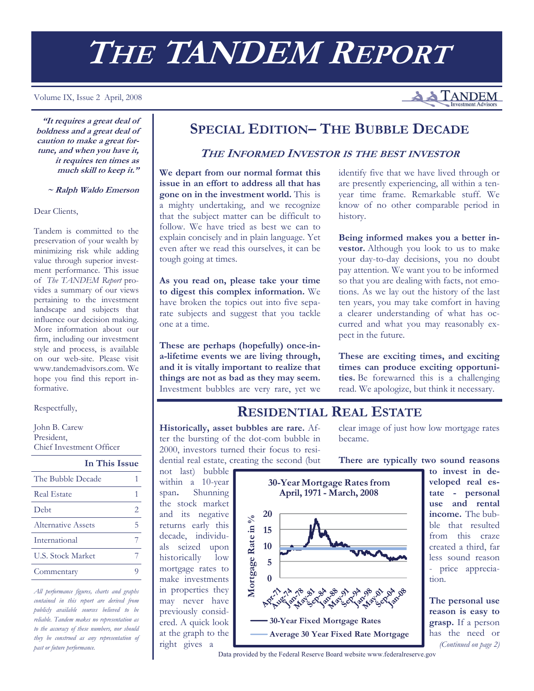# **THE TANDEM REPORT**

#### Volume IX, Issue 2 April, 2008

**TANDEM** 

**"It requires a great deal of boldness and a great deal of caution to make a great fortune, and when you have it, it requires ten times as much skill to keep it."** 

 **~ Ralph Waldo Emerson**

#### Dear Clients,

Tandem is committed to the preservation of your wealth by minimizing risk while adding value through superior investment performance. This issue of *The TANDEM Report* provides a summary of our views pertaining to the investment landscape and subjects that influence our decision making. More information about our firm, including our investment style and process, is available on our web-site. Please visit www.tandemadvisors.com. We hope you find this report informative.

#### Respectfully,

John B. Carew President, Chief Investment Officer

**In This Issue**

| The Bubble Decade        |   |
|--------------------------|---|
| <b>Real Estate</b>       |   |
| Debt                     | 2 |
| Alternative Assets       | 5 |
| International            |   |
| <b>U.S. Stock Market</b> |   |
| Commentary               |   |

*All performance figures, charts and graphs contained in this report are derived from publicly available sources believed to be reliable. Tandem makes no representation as to the accuracy of these numbers, nor should they be construed as any representation of past or future performance.* 

## **SPECIAL EDITION– THE BUBBLE DECADE**

#### **THE INFORMED INVESTOR IS THE BEST INVESTOR**

**We depart from our normal format this issue in an effort to address all that has gone on in the investment world.** This is a mighty undertaking, and we recognize that the subject matter can be difficult to follow. We have tried as best we can to explain concisely and in plain language. Yet even after we read this ourselves, it can be tough going at times.

**As you read on, please take your time to digest this complex information.** We have broken the topics out into five separate subjects and suggest that you tackle one at a time.

**These are perhaps (hopefully) once-ina-lifetime events we are living through, and it is vitally important to realize that things are not as bad as they may seem.**  Investment bubbles are very rare, yet we identify five that we have lived through or are presently experiencing, all within a tenyear time frame. Remarkable stuff. We know of no other comparable period in history.

**Being informed makes you a better investor.** Although you look to us to make your day-to-day decisions, you no doubt pay attention. We want you to be informed so that you are dealing with facts, not emotions. As we lay out the history of the last ten years, you may take comfort in having a clearer understanding of what has occurred and what you may reasonably expect in the future.

**These are exciting times, and exciting times can produce exciting opportunities.** Be forewarned this is a challenging read. We apologize, but think it necessary.

## **RESIDENTIAL REAL ESTATE**

**Historically, asset bubbles are rare.** After the bursting of the dot-com bubble in 2000, investors turned their focus to residential real estate, creating the second (but clear image of just how low mortgage rates became.

**There are typically two sound reasons** 

not last) bubble within a 10-year span**.** Shunning the stock market and its negative returns early this decade, individuals seized upon historically low mortgage rates to make investments in properties they may never have previously considered. A quick look at the graph to the right gives a



**to invest in developed real estate - personal use and rental income.** The bubble that resulted from this craze created a third, far less sound reason - price appreciation.

**The personal use reason is easy to grasp.** If a person has the need or *(Continued on page 2)* 

Data provided by the Federal Reserve Board website www.federalreserve.gov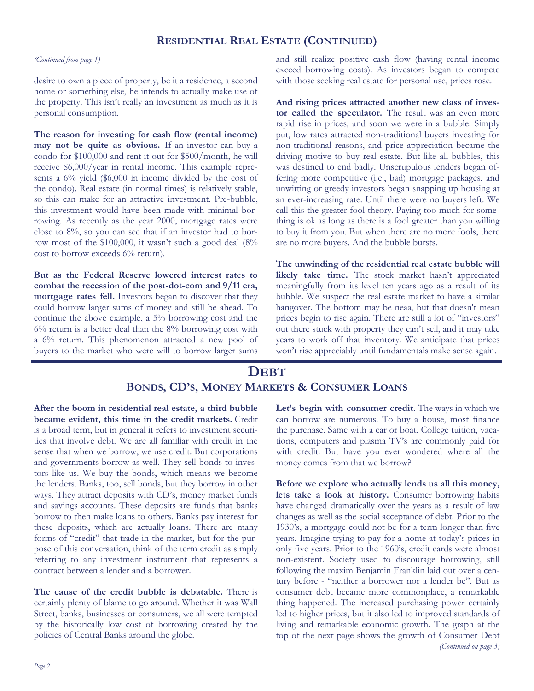#### **RESIDENTIAL REAL ESTATE (CONTINUED)**

#### *(Continued from page 1)*

desire to own a piece of property, be it a residence, a second home or something else, he intends to actually make use of the property. This isn't really an investment as much as it is personal consumption.

**The reason for investing for cash flow (rental income) may not be quite as obvious.** If an investor can buy a condo for \$100,000 and rent it out for \$500/month, he will receive \$6,000/year in rental income. This example represents a 6% yield (\$6,000 in income divided by the cost of the condo). Real estate (in normal times) is relatively stable, so this can make for an attractive investment. Pre-bubble, this investment would have been made with minimal borrowing. As recently as the year 2000, mortgage rates were close to 8%, so you can see that if an investor had to borrow most of the \$100,000, it wasn't such a good deal (8% cost to borrow exceeds 6% return).

**But as the Federal Reserve lowered interest rates to combat the recession of the post-dot-com and 9/11 era, mortgage rates fell.** Investors began to discover that they could borrow larger sums of money and still be ahead. To continue the above example, a 5% borrowing cost and the 6% return is a better deal than the 8% borrowing cost with a 6% return. This phenomenon attracted a new pool of buyers to the market who were will to borrow larger sums

and still realize positive cash flow (having rental income exceed borrowing costs). As investors began to compete with those seeking real estate for personal use, prices rose.

**And rising prices attracted another new class of investor called the speculator.** The result was an even more rapid rise in prices, and soon we were in a bubble. Simply put, low rates attracted non-traditional buyers investing for non-traditional reasons, and price appreciation became the driving motive to buy real estate. But like all bubbles, this was destined to end badly. Unscrupulous lenders began offering more competitive (i.e., bad) mortgage packages, and unwitting or greedy investors began snapping up housing at an ever-increasing rate. Until there were no buyers left. We call this the greater fool theory. Paying too much for something is ok as long as there is a fool greater than you willing to buy it from you. But when there are no more fools, there are no more buyers. And the bubble bursts.

**The unwinding of the residential real estate bubble will likely take time.** The stock market hasn't appreciated meaningfully from its level ten years ago as a result of its bubble. We suspect the real estate market to have a similar hangover. The bottom may be neaa, but that doesn't mean prices begin to rise again. There are still a lot of "investors" out there stuck with property they can't sell, and it may take years to work off that inventory. We anticipate that prices won't rise appreciably until fundamentals make sense again.

## **DEBT BONDS, CD'S, MONEY MARKETS & CONSUMER LOANS**

**After the boom in residential real estate, a third bubble became evident, this time in the credit markets.** Credit is a broad term, but in general it refers to investment securities that involve debt. We are all familiar with credit in the sense that when we borrow, we use credit. But corporations and governments borrow as well. They sell bonds to investors like us. We buy the bonds, which means we become the lenders. Banks, too, sell bonds, but they borrow in other ways. They attract deposits with CD's, money market funds and savings accounts. These deposits are funds that banks borrow to then make loans to others. Banks pay interest for these deposits, which are actually loans. There are many forms of "credit" that trade in the market, but for the purpose of this conversation, think of the term credit as simply referring to any investment instrument that represents a contract between a lender and a borrower.

**The cause of the credit bubble is debatable.** There is certainly plenty of blame to go around. Whether it was Wall Street, banks, businesses or consumers, we all were tempted by the historically low cost of borrowing created by the policies of Central Banks around the globe.

**Let's begin with consumer credit.** The ways in which we can borrow are numerous. To buy a house, most finance the purchase. Same with a car or boat. College tuition, vacations, computers and plasma TV's are commonly paid for with credit. But have you ever wondered where all the money comes from that we borrow?

**Before we explore who actually lends us all this money, lets take a look at history.** Consumer borrowing habits have changed dramatically over the years as a result of law changes as well as the social acceptance of debt. Prior to the 1930's, a mortgage could not be for a term longer than five years. Imagine trying to pay for a home at today's prices in only five years. Prior to the 1960's, credit cards were almost non-existent. Society used to discourage borrowing, still following the maxim Benjamin Franklin laid out over a century before - "neither a borrower nor a lender be". But as consumer debt became more commonplace, a remarkable thing happened. The increased purchasing power certainly led to higher prices, but it also led to improved standards of living and remarkable economic growth. The graph at the top of the next page shows the growth of Consumer Debt *(Continued on page 3)*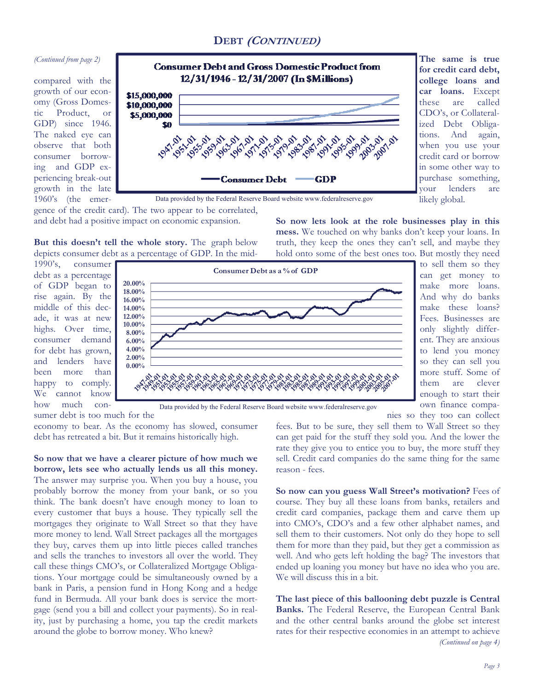### **DEBT (CONTINUED)**

#### *(Continued from page 2)*

compared with the growth of our economy (Gross Domestic Product, or GDP) since 1946. The naked eye can observe that both consumer borrowing and GDP experiencing break-out growth in the late 1960's (the emer-



**The same is true for credit card debt, college loans and car loans.** Except these are called CDO's, or Collateralized Debt Obligations. And again, when you use your credit card or borrow in some other way to purchase something, your lenders are likely global.

gence of the credit card). The two appear to be correlated, and debt had a positive impact on economic expansion.

**But this doesn't tell the whole story.** The graph below depicts consumer debt as a percentage of GDP. In the mid**So now lets look at the role businesses play in this mess.** We touched on why banks don't keep your loans. In truth, they keep the ones they can't sell, and maybe they hold onto some of the best ones too. But mostly they need

1990's, consumer debt as a percentage of GDP began to rise again. By the middle of this decade, it was at new highs. Over time, consumer demand for debt has grown, and lenders have been more than happy to comply. We cannot know how much con-

sumer debt is too much for the



to sell them so they can get money to make more loans. And why do banks make these loans? Fees. Businesses are only slightly different. They are anxious to lend you money so they can sell you more stuff. Some of them are clever enough to start their own finance companies so they too can collect

Data provided by the Federal Reserve Board website www.federalreserve.gov

economy to bear. As the economy has slowed, consumer debt has retreated a bit. But it remains historically high.

**So now that we have a clearer picture of how much we borrow, lets see who actually lends us all this money.**  The answer may surprise you. When you buy a house, you probably borrow the money from your bank, or so you think. The bank doesn't have enough money to loan to every customer that buys a house. They typically sell the mortgages they originate to Wall Street so that they have more money to lend. Wall Street packages all the mortgages they buy, carves them up into little pieces called tranches and sells the tranches to investors all over the world. They call these things CMO's, or Collateralized Mortgage Obligations. Your mortgage could be simultaneously owned by a bank in Paris, a pension fund in Hong Kong and a hedge fund in Bermuda. All your bank does is service the mortgage (send you a bill and collect your payments). So in reality, just by purchasing a home, you tap the credit markets around the globe to borrow money. Who knew?

fees. But to be sure, they sell them to Wall Street so they can get paid for the stuff they sold you. And the lower the rate they give you to entice you to buy, the more stuff they sell. Credit card companies do the same thing for the same reason - fees.

**So now can you guess Wall Street's motivation?** Fees of course. They buy all these loans from banks, retailers and credit card companies, package them and carve them up into CMO's, CDO's and a few other alphabet names, and sell them to their customers. Not only do they hope to sell them for more than they paid, but they get a commission as well. And who gets left holding the bag? The investors that ended up loaning you money but have no idea who you are. We will discuss this in a bit.

**The last piece of this ballooning debt puzzle is Central Banks.** The Federal Reserve, the European Central Bank and the other central banks around the globe set interest rates for their respective economies in an attempt to achieve *(Continued on page 4)*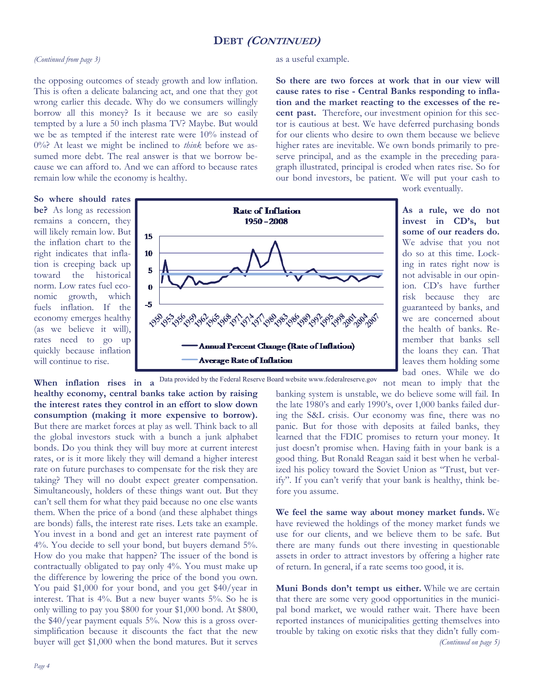#### **DEBT (CONTINUED)**

as a useful example.

#### *(Continued from page 3)*

#### the opposing outcomes of steady growth and low inflation. This is often a delicate balancing act, and one that they got wrong earlier this decade. Why do we consumers willingly borrow all this money? Is it because we are so easily tempted by a lure a 50 inch plasma TV? Maybe. But would we be as tempted if the interest rate were 10% instead of 0%? At least we might be inclined to *think* before we assumed more debt. The real answer is that we borrow because we can afford to. And we can afford to because rates remain low while the economy is healthy.

**So where should rates be?** As long as recession remains a concern, they will likely remain low. But the inflation chart to the right indicates that inflation is creeping back up toward the historical norm. Low rates fuel economic growth, which fuels inflation. If the economy emerges healthy (as we believe it will), rates need to go up quickly because inflation will continue to rise.



**So there are two forces at work that in our view will cause rates to rise - Central Banks responding to inflation and the market reacting to the excesses of the recent past.** Therefore, our investment opinion for this sector is cautious at best. We have deferred purchasing bonds for our clients who desire to own them because we believe higher rates are inevitable. We own bonds primarily to preserve principal, and as the example in the preceding paragraph illustrated, principal is eroded when rates rise. So for our bond investors, be patient. We will put your cash to

work eventually.

**As a rule, we do not invest in CD's, but some of our readers do.**  We advise that you not do so at this time. Locking in rates right now is not advisable in our opinion. CD's have further risk because they are guaranteed by banks, and we are concerned about the health of banks. Remember that banks sell the loans they can. That leaves them holding some bad ones. While we do not mean to imply that the

When inflation rises in a <sup>Data provided by the Federal Reserve Board website www.federalreserve.gov</sup>

**healthy economy, central banks take action by raising the interest rates they control in an effort to slow down consumption (making it more expensive to borrow).**  But there are market forces at play as well. Think back to all the global investors stuck with a bunch a junk alphabet bonds. Do you think they will buy more at current interest rates, or is it more likely they will demand a higher interest rate on future purchases to compensate for the risk they are taking? They will no doubt expect greater compensation. Simultaneously, holders of these things want out. But they can't sell them for what they paid because no one else wants them. When the price of a bond (and these alphabet things are bonds) falls, the interest rate rises. Lets take an example. You invest in a bond and get an interest rate payment of 4%. You decide to sell your bond, but buyers demand 5%. How do you make that happen? The issuer of the bond is contractually obligated to pay only 4%. You must make up the difference by lowering the price of the bond you own. You paid \$1,000 for your bond, and you get \$40/year in interest. That is 4%. But a new buyer wants 5%. So he is only willing to pay you \$800 for your \$1,000 bond. At \$800, the \$40/year payment equals 5%. Now this is a gross oversimplification because it discounts the fact that the new buyer will get \$1,000 when the bond matures. But it serves

banking system is unstable, we do believe some will fail. In the late 1980's and early 1990's, over 1,000 banks failed during the S&L crisis. Our economy was fine, there was no panic. But for those with deposits at failed banks, they learned that the FDIC promises to return your money. It just doesn't promise when. Having faith in your bank is a good thing. But Ronald Reagan said it best when he verbalized his policy toward the Soviet Union as "Trust, but verify". If you can't verify that your bank is healthy, think before you assume.

**We feel the same way about money market funds.** We have reviewed the holdings of the money market funds we use for our clients, and we believe them to be safe. But there are many funds out there investing in questionable assets in order to attract investors by offering a higher rate of return. In general, if a rate seems too good, it is.

**Muni Bonds don't tempt us either.** While we are certain that there are some very good opportunities in the municipal bond market, we would rather wait. There have been reported instances of municipalities getting themselves into trouble by taking on exotic risks that they didn't fully com- *(Continued on page 5)*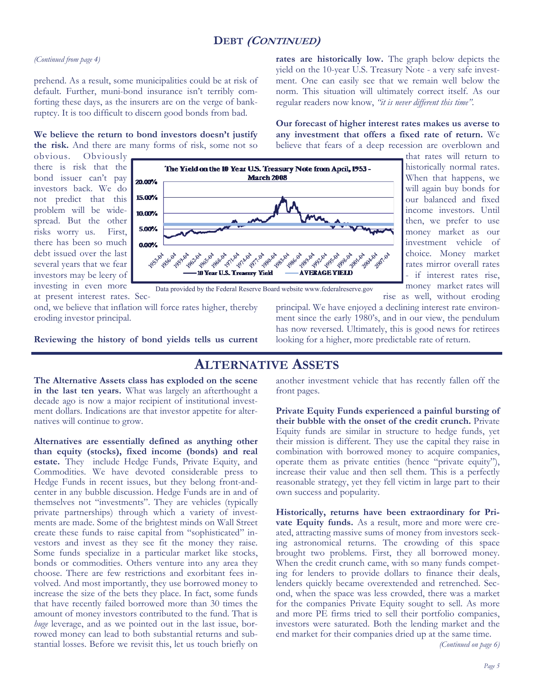## **DEBT (CONTINUED)**

#### *(Continued from page 4)*

prehend. As a result, some municipalities could be at risk of default. Further, muni-bond insurance isn't terribly comforting these days, as the insurers are on the verge of bankruptcy. It is too difficult to discern good bonds from bad.

**We believe the return to bond investors doesn't justify the risk.** And there are many forms of risk, some not so

obvious. Obviously there is risk that the bond issuer can't pay investors back. We do not predict that this problem will be widespread. But the other risks worry us. First, there has been so much debt issued over the last several years that we fear investors may be leery of investing in even more



at present interest rates. Second, we believe that inflation will force rates higher, thereby eroding investor principal.

**Reviewing the history of bond yields tells us current** 

rise as well, without eroding principal. We have enjoyed a declining interest rate environment since the early 1980's, and in our view, the pendulum has now reversed. Ultimately, this is good news for retirees looking for a higher, more predictable rate of return.

## **ALTERNATIVE ASSETS**

**The Alternative Assets class has exploded on the scene in the last ten years.** What was largely an afterthought a decade ago is now a major recipient of institutional investment dollars. Indications are that investor appetite for alternatives will continue to grow.

**Alternatives are essentially defined as anything other than equity (stocks), fixed income (bonds) and real estate.** They include Hedge Funds, Private Equity, and Commodities. We have devoted considerable press to Hedge Funds in recent issues, but they belong front-andcenter in any bubble discussion. Hedge Funds are in and of themselves not "investments". They are vehicles (typically private partnerships) through which a variety of investments are made. Some of the brightest minds on Wall Street create these funds to raise capital from "sophisticated" investors and invest as they see fit the money they raise. Some funds specialize in a particular market like stocks, bonds or commodities. Others venture into any area they choose. There are few restrictions and exorbitant fees involved. And most importantly, they use borrowed money to increase the size of the bets they place. In fact, some funds that have recently failed borrowed more than 30 times the amount of money investors contributed to the fund. That is *huge* leverage, and as we pointed out in the last issue, borrowed money can lead to both substantial returns and substantial losses. Before we revisit this, let us touch briefly on

another investment vehicle that has recently fallen off the front pages.

**Private Equity Funds experienced a painful bursting of their bubble with the onset of the credit crunch.** Private Equity funds are similar in structure to hedge funds, yet their mission is different. They use the capital they raise in combination with borrowed money to acquire companies, operate them as private entities (hence "private equity"), increase their value and then sell them. This is a perfectly reasonable strategy, yet they fell victim in large part to their own success and popularity.

**Historically, returns have been extraordinary for Private Equity funds.** As a result, more and more were created, attracting massive sums of money from investors seeking astronomical returns. The crowding of this space brought two problems. First, they all borrowed money. When the credit crunch came, with so many funds competing for lenders to provide dollars to finance their deals, lenders quickly became overextended and retrenched. Second, when the space was less crowded, there was a market for the companies Private Equity sought to sell. As more and more PE firms tried to sell their portfolio companies, investors were saturated. Both the lending market and the end market for their companies dried up at the same time.

**rates are historically low.** The graph below depicts the yield on the 10-year U.S. Treasury Note - a very safe investment. One can easily see that we remain well below the norm. This situation will ultimately correct itself. As our regular readers now know, *"it is never different this time"*.

**Our forecast of higher interest rates makes us averse to any investment that offers a fixed rate of return.** We believe that fears of a deep recession are overblown and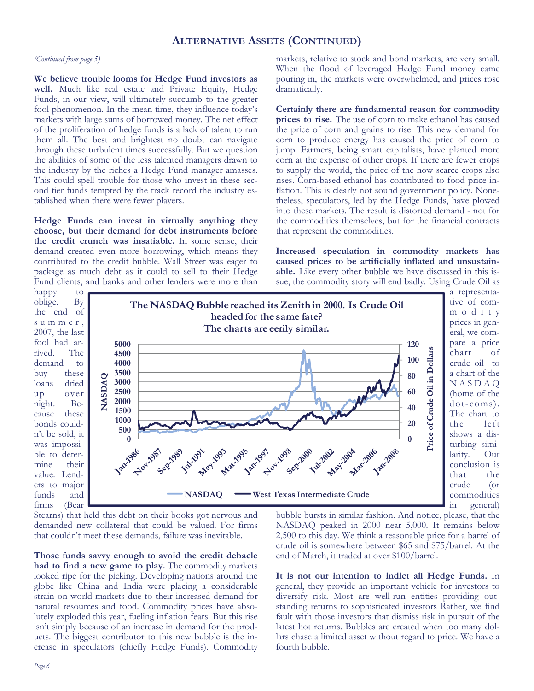#### **ALTERNATIVE ASSETS (CONTINUED)**

#### *(Continued from page 5)*

**We believe trouble looms for Hedge Fund investors as well.** Much like real estate and Private Equity, Hedge Funds, in our view, will ultimately succumb to the greater fool phenomenon. In the mean time, they influence today's markets with large sums of borrowed money. The net effect of the proliferation of hedge funds is a lack of talent to run them all. The best and brightest no doubt can navigate through these turbulent times successfully. But we question the abilities of some of the less talented managers drawn to the industry by the riches a Hedge Fund manager amasses. This could spell trouble for those who invest in these second tier funds tempted by the track record the industry established when there were fewer players.

**Hedge Funds can invest in virtually anything they choose, but their demand for debt instruments before the credit crunch was insatiable.** In some sense, their demand created even more borrowing, which means they contributed to the credit bubble. Wall Street was eager to package as much debt as it could to sell to their Hedge Fund clients, and banks and other lenders were more than

markets, relative to stock and bond markets, are very small. When the flood of leveraged Hedge Fund money came pouring in, the markets were overwhelmed, and prices rose dramatically.

**Certainly there are fundamental reason for commodity prices to rise.** The use of corn to make ethanol has caused the price of corn and grains to rise. This new demand for corn to produce energy has caused the price of corn to jump. Farmers, being smart capitalists, have planted more corn at the expense of other crops. If there are fewer crops to supply the world, the price of the now scarce crops also rises. Corn-based ethanol has contributed to food price inflation. This is clearly not sound government policy. Nonetheless, speculators, led by the Hedge Funds, have plowed into these markets. The result is distorted demand - not for the commodities themselves, but for the financial contracts that represent the commodities.

**Increased speculation in commodity markets has caused prices to be artificially inflated and unsustainable.** Like every other bubble we have discussed in this issue, the commodity story will end badly. Using Crude Oil as



Stearns) that held this debt on their books got nervous and demanded new collateral that could be valued. For firms that couldn't meet these demands, failure was inevitable.

**Those funds savvy enough to avoid the credit debacle had to find a new game to play.** The commodity markets looked ripe for the picking. Developing nations around the globe like China and India were placing a considerable strain on world markets due to their increased demand for natural resources and food. Commodity prices have absolutely exploded this year, fueling inflation fears. But this rise isn't simply because of an increase in demand for the products. The biggest contributor to this new bubble is the increase in speculators (chiefly Hedge Funds). Commodity

bubble bursts in similar fashion. And notice, please, that the NASDAQ peaked in 2000 near 5,000. It remains below 2,500 to this day. We think a reasonable price for a barrel of crude oil is somewhere between \$65 and \$75/barrel. At the end of March, it traded at over \$100/barrel.

**It is not our intention to indict all Hedge Funds.** In general, they provide an important vehicle for investors to diversify risk. Most are well-run entities providing outstanding returns to sophisticated investors Rather, we find fault with those investors that dismiss risk in pursuit of the latest hot returns. Bubbles are created when too many dollars chase a limited asset without regard to price. We have a fourth bubble.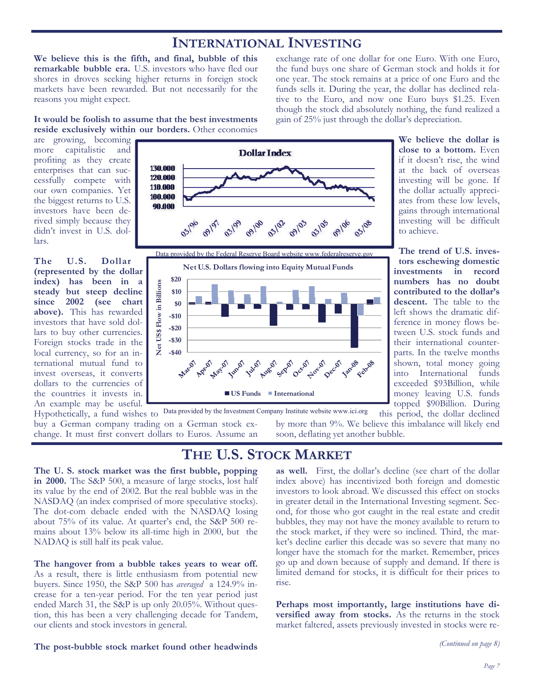## **INTERNATIONAL INVESTING**

**We believe this is the fifth, and final, bubble of this remarkable bubble era.** U.S. investors who have fled our shores in droves seeking higher returns in foreign stock markets have been rewarded. But not necessarily for the reasons you might expect.

exchange rate of one dollar for one Euro. With one Euro, the fund buys one share of German stock and holds it for one year. The stock remains at a price of one Euro and the funds sells it. During the year, the dollar has declined relative to the Euro, and now one Euro buys \$1.25. Even though the stock did absolutely nothing, the fund realized a gain of 25% just through the dollar's depreciation.

**It would be foolish to assume that the best investments reside exclusively within our borders.** Other economies

are growing, becoming more capitalistic and profiting as they create enterprises that can successfully compete with our own companies. Yet the biggest returns to U.S. investors have been derived simply because they didn't invest in U.S. dollars.

**The U.S. Dollar (represented by the dollar index) has been in a steady but steep decline since 2002 (see chart above).** This has rewarded investors that have sold dollars to buy other currencies. Foreign stocks trade in the local currency, so for an international mutual fund to invest overseas, it converts dollars to the currencies of the countries it invests in. An example may be useful.



**We believe the dollar is close to a bottom.** Even if it doesn't rise, the wind at the back of overseas investing will be gone. If the dollar actually appreciates from these low levels, gains through international investing will be difficult to achieve.

**The trend of U.S. investors eschewing domestic investments in record numbers has no doubt contributed to the dollar's descent.** The table to the left shows the dramatic difference in money flows between U.S. stock funds and their international counterparts. In the twelve months shown, total money going into International funds exceeded \$93Billion, while money leaving U.S. funds topped \$90Billion. During

Hypothetically, a fund wishes to Data provided by the Investment Company Institute website www.ici.org buy a German company trading on a German stock exchange. It must first convert dollars to Euros. Assume an

this period, the dollar declined by more than 9%. We believe this imbalance will likely end soon, deflating yet another bubble.

## **THE U.S. STOCK MARKET**

**The U. S. stock market was the first bubble, popping in 2000.** The S&P 500, a measure of large stocks, lost half its value by the end of 2002. But the real bubble was in the NASDAQ (an index comprised of more speculative stocks). The dot-com debacle ended with the NASDAQ losing about 75% of its value. At quarter's end, the S&P 500 remains about 13% below its all-time high in 2000, but the NADAQ is still half its peak value.

**The hangover from a bubble takes years to wear off.**  As a result, there is little enthusiasm from potential new buyers. Since 1950, the S&P 500 has *averaged* a 124.9% increase for a ten-year period. For the ten year period just ended March 31, the S&P is up only 20.05%. Without question, this has been a very challenging decade for Tandem, our clients and stock investors in general.

**as well.** First, the dollar's decline (see chart of the dollar index above) has incentivized both foreign and domestic investors to look abroad. We discussed this effect on stocks in greater detail in the International Investing segment. Second, for those who got caught in the real estate and credit bubbles, they may not have the money available to return to the stock market, if they were so inclined. Third, the market's decline earlier this decade was so severe that many no longer have the stomach for the market. Remember, prices go up and down because of supply and demand. If there is limited demand for stocks, it is difficult for their prices to rise.

Perhaps most importantly, large institutions have di**versified away from stocks.** As the returns in the stock market faltered, assets previously invested in stocks were re-

#### **The post-bubble stock market found other headwinds**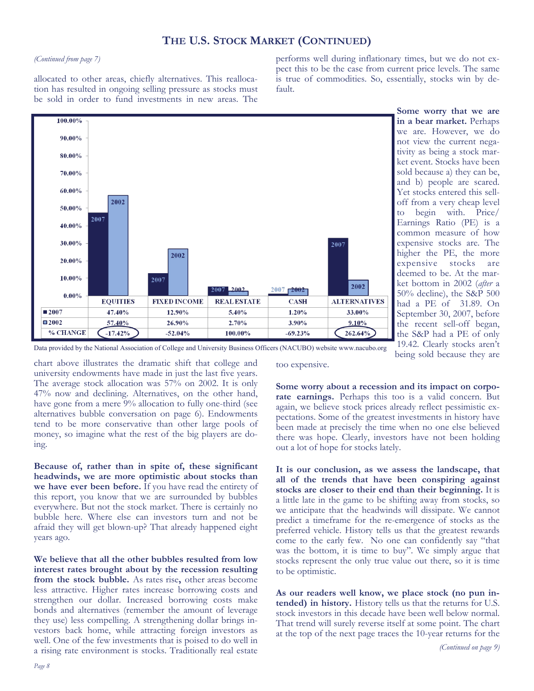*Page 8* 

### **THE U.S. STOCK MARKET (CONTINUED)**

#### *(Continued from page 7)*

allocated to other areas, chiefly alternatives. This reallocation has resulted in ongoing selling pressure as stocks must be sold in order to fund investments in new areas. The

performs well during inflationary times, but we do not expect this to be the case from current price levels. The same is true of commodities. So, essentially, stocks win by default.



Data provided by the National Association of College and University Business Officers (NACUBO) website www.nacubo.org

chart above illustrates the dramatic shift that college and university endowments have made in just the last five years. The average stock allocation was 57% on 2002. It is only 47% now and declining. Alternatives, on the other hand, have gone from a mere 9% allocation to fully one-third (see alternatives bubble conversation on page 6). Endowments tend to be more conservative than other large pools of money, so imagine what the rest of the big players are doing.

**Because of, rather than in spite of, these significant headwinds, we are more optimistic about stocks than we have ever been before.** If you have read the entirety of this report, you know that we are surrounded by bubbles everywhere. But not the stock market. There is certainly no bubble here. Where else can investors turn and not be afraid they will get blown-up? That already happened eight years ago.

**We believe that all the other bubbles resulted from low interest rates brought about by the recession resulting from the stock bubble.** As rates rise**,** other areas become less attractive. Higher rates increase borrowing costs and strengthen our dollar. Increased borrowing costs make bonds and alternatives (remember the amount of leverage they use) less compelling. A strengthening dollar brings investors back home, while attracting foreign investors as well. One of the few investments that is poised to do well in a rising rate environment is stocks. Traditionally real estate

too expensive.

**Some worry about a recession and its impact on corporate earnings.** Perhaps this too is a valid concern. But again, we believe stock prices already reflect pessimistic expectations. Some of the greatest investments in history have been made at precisely the time when no one else believed there was hope. Clearly, investors have not been holding out a lot of hope for stocks lately.

**It is our conclusion, as we assess the landscape, that all of the trends that have been conspiring against stocks are closer to their end than their beginning.** It is a little late in the game to be shifting away from stocks, so we anticipate that the headwinds will dissipate. We cannot predict a timeframe for the re-emergence of stocks as the preferred vehicle. History tells us that the greatest rewards come to the early few. No one can confidently say "that was the bottom, it is time to buy". We simply argue that stocks represent the only true value out there, so it is time to be optimistic.

**As our readers well know, we place stock (no pun intended) in history.** History tells us that the returns for U.S. stock investors in this decade have been well below normal. That trend will surely reverse itself at some point. The chart at the top of the next page traces the 10-year returns for the

being sold because they are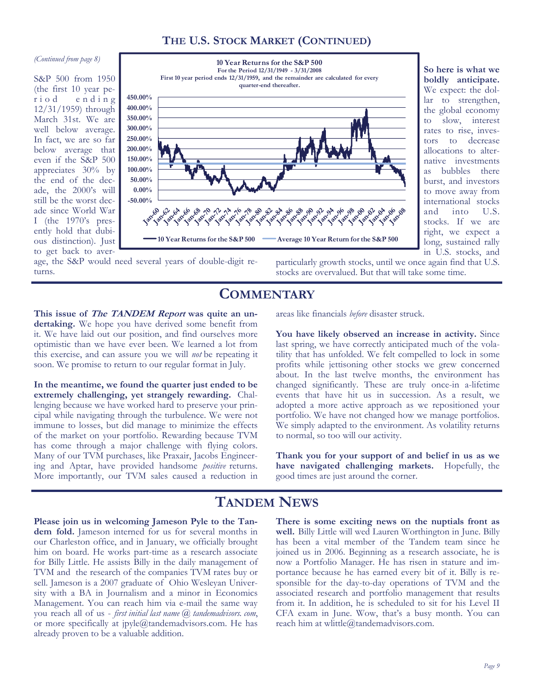#### **THE U.S. STOCK MARKET (CONTINUED)**

#### *(Continued from page 8)*

S&P 500 from 1950 (the first 10 year period ending 12/31/1959) through March 31st. We are well below average. In fact, we are so far below average that even if the S&P 500 appreciates 30% by the end of the decade, the 2000's will still be the worst decade since World War I (the 1970's presently hold that dubious distinction). Just to get back to aver-



**So here is what we boldly anticipate.**  We expect: the dollar to strengthen, the global economy to slow, interest rates to rise, investors to decrease allocations to alternative investments as bubbles there burst, and investors to move away from international stocks and into U.S. stocks. If we are right, we expect a long, sustained rally in U.S. stocks, and

age, the S&P would need several years of double-digit returns.

particularly growth stocks, until we once again find that U.S. stocks are overvalued. But that will take some time.

#### **COMMENTARY**

**This issue of The TANDEM Report was quite an un**dertaking. We hope you have derived some benefit from it. We have laid out our position, and find ourselves more optimistic than we have ever been. We learned a lot from this exercise, and can assure you we will *not* be repeating it soon. We promise to return to our regular format in July.

**In the meantime, we found the quarter just ended to be extremely challenging, yet strangely rewarding.** Challenging because we have worked hard to preserve your principal while navigating through the turbulence. We were not immune to losses, but did manage to minimize the effects of the market on your portfolio. Rewarding because TVM has come through a major challenge with flying colors. Many of our TVM purchases, like Praxair, Jacobs Engineering and Aptar, have provided handsome *positive* returns. More importantly, our TVM sales caused a reduction in

areas like financials *before* disaster struck.

**You have likely observed an increase in activity.** Since last spring, we have correctly anticipated much of the volatility that has unfolded. We felt compelled to lock in some profits while jettisoning other stocks we grew concerned about. In the last twelve months, the environment has changed significantly. These are truly once-in a-lifetime events that have hit us in succession. As a result, we adopted a more active approach as we repositioned your portfolio. We have not changed how we manage portfolios. We simply adapted to the environment. As volatility returns to normal, so too will our activity.

**Thank you for your support of and belief in us as we have navigated challenging markets.** Hopefully, the good times are just around the corner.

## **TANDEM NEWS**

**Please join us in welcoming Jameson Pyle to the Tandem fold.** Jameson interned for us for several months in our Charleston office, and in January, we officially brought him on board. He works part-time as a research associate for Billy Little. He assists Billy in the daily management of TVM and the research of the companies TVM rates buy or sell. Jameson is a 2007 graduate of Ohio Wesleyan University with a BA in Journalism and a minor in Economics Management. You can reach him via e-mail the same way you reach all of us - *first initial last name @ tandemadvisors. com*, or more specifically at jpyle@tandemadvisors.com. He has already proven to be a valuable addition.

**There is some exciting news on the nuptials front as well.** Billy Little will wed Lauren Worthington in June. Billy has been a vital member of the Tandem team since he joined us in 2006. Beginning as a research associate, he is now a Portfolio Manager. He has risen in stature and importance because he has earned every bit of it. Billy is responsible for the day-to-day operations of TVM and the associated research and portfolio management that results from it. In addition, he is scheduled to sit for his Level II CFA exam in June. Wow, that's a busy month. You can reach him at wlittle@tandemadvisors.com.